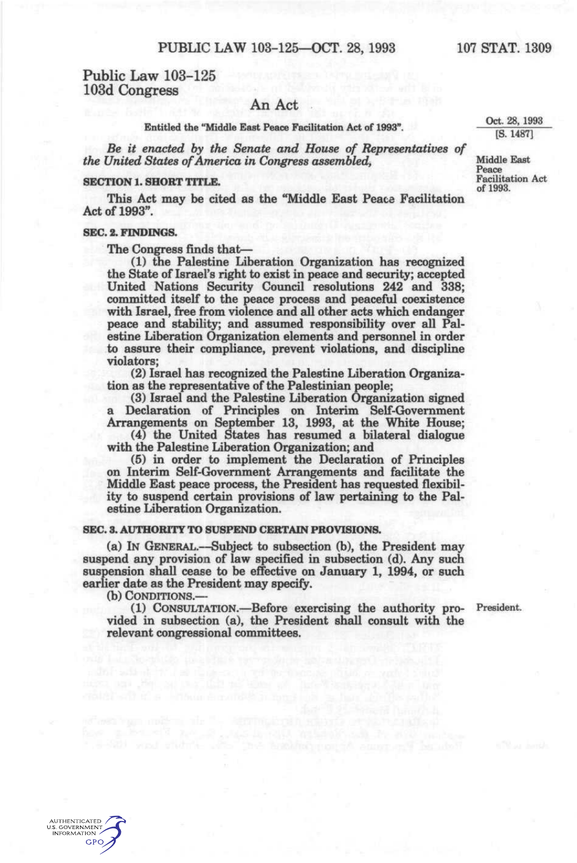# Public Law 103-125 103d Congress

# An Act

**Entitled the "Middle East Peace Facilitation Act of 1993".** 

*Be it enacted by the Senate and House of Representatives of the United States of America in Congress assembled^* 

#### **SECTION 1. SHORT TITLE.**

This Act may be cited as the "Middle East Peace Facilitation Act of 1993".

## **SEC. 2. FINDINGS.**

The Congress finds that—

(1) the Palestine Liberation Organization has recognized the State of Israel's right to exist in peace and security; accepted United Nations Security Council resolutions 242 and 338; committed itself to the peace process and peaceful coexistence with Israel, free from violence and all other acts which endanger peace and stability; and assumed responsibility over all Palestine Liberation Organization elements and personnel in order to assure their compliance, prevent violations, and discipline violators;

(2) Israel has recognized the Palestine Liberation Organization as the representative of the Palestinian people;

(3) Israel and the Palestine Liberation Organization signed a Declaration of Principles on Interim Self-Govemment Arrangements on September 13, 1993, at the White House;

(4) the United States has resumed a bilateral dialogue with the Palestine Liberation Organization; and

(5) in order to implement the Declaration of Principles on Interim Self-Govemment Arrangements and facilitate the Middle East peace process, the President has requested flexibility to suspend certain provisions of law pertaining to the Palestine Liberation Organization.

### **SEC. 3. AUTHORITY TO SUSPEND CERTAIN PROVISIONS.**

(a) IN GENERAL.—Subject to subsection (b), the President may suspend any provision of law specified in subsection (d). Any such suspension shall cease to be effective on January 1, 1994, or such earlier date as the President may specify.

(b) CONDITIONS.—

(1) CONSULTATION.—^Before exercising the authority pro-President. vided in subsection (a), the President shall consult with the relevant congressional committees.

[S. 1487]

Middle East Peace Facilitation Act of 1993.

AUTHENTICATED **U.S. GOVERNMENT** INFORMATION **GPO**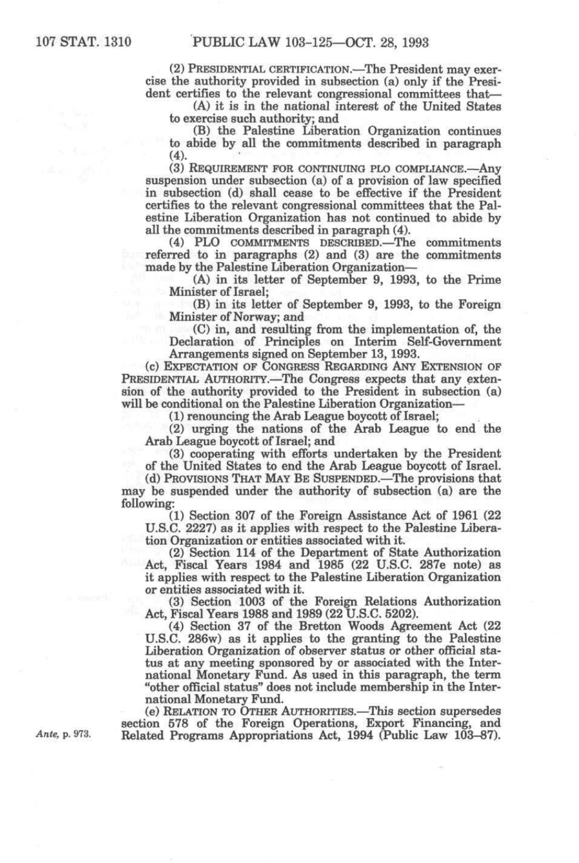(2) PRESIDENTIAL CERTIFICATION.—The President may exercise the authority provided in subsection (a) only if the President certifies to the relevant congressional committees that—

(A) it is in the national interest of the United States to exercise such authority; and

(B) the Palestine Liberation Organization continues to abide by all the commitments described in paragraph (4).

(3) REQUIREMENT FOR CONTINUING PLO COMPLIANCE.—Any suspension under subsection (a) of a provision of law specified in subsection (d) shall cease to be effective if the President certifies to the relevant congressional committees that the Palestine Liberation Organization has not continued to abide by all the commitments described in paragraph (4).

(4) PLO COMMITMENTS DESCRIBED.—The commitments referred to in paragraphs (2) and (3) are the commitments made by the Palestine Liberation Organization—

(A) in its letter of September 9, 1993, to the Prime Minister of Israel;

(B) in its letter of September 9, 1993, to the Foreign Minister of Norway; and

(C) in, and resulting from the implementation of, the Declaration of Principles on Interim Self-Government Arrangements signed on September 13, 1993.

(c) EXPECTATION OF CONGRESS REGARDING ANY EXTENSION OF PRESIDENTIAL AUTHORITY.—The Congress expects that any extension of the authority provided to the President in subsection (a) will be conditional on the Palestine Liberation Organization—

(1) renouncing the Arab League boycott of Israel;

(2) urging the nations of the Arab League to end the Arab League boycott of Israel; and

(3) cooperating with efforts undertaken by the President of the United States to end the Arab League boycott of Israel.

(d) PROVISIONS THAT MAY BE SUSPENDED.—The provisions that may be suspended under the authority of subsection (a) are the following:

(1) Section 307 of the Foreign Assistance Act of 1961 (22 U.S.C. 2227) as it applies with respect to the Palestine Liberation Organization or entities associated with it.

(2) Section 114 of the Department of State Authorization Act, Fiscal Years 1984 and 1985 (22 U.S.C. 287e note) as it applies with respect to the Palestine Liberation Organization or entities associated with it.

(3) Section 1003 of the Foreign Relations Authorization Act, Fiscal Years 1988 and 1989 (22 U.S.C. 5202).

(4) Section 37 of the Bretton Woods Agreement Act (22 U.S.C. 286w) as it applies to the granting to the Palestine Liberation Organization of observer status or other official status at any meeting sponsored by or associated with the International Monetary Fund. As used in this paragraph, the term "other official status" does not include membership in the International Monetary Fund.

(e) RELATION TO OTHER AUTHORITIES.—^This section supersedes section 578 of the Foreign Operations, Export Financing, and Ante, p. 973. Related Programs Appropriations Act, 1994 (Public Law 103-87).